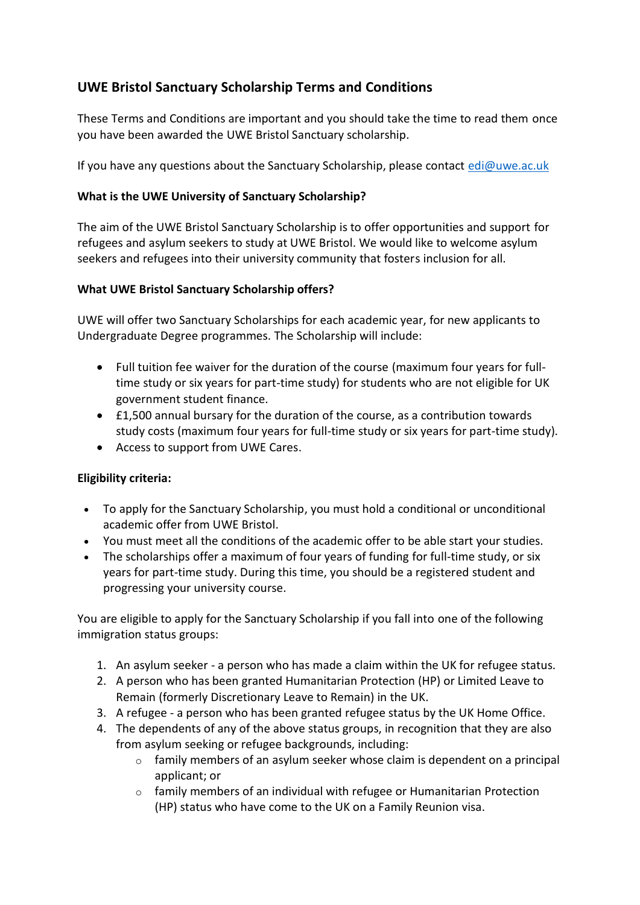# **UWE Bristol Sanctuary Scholarship Terms and Conditions**

These Terms and Conditions are important and you should take the time to read them once you have been awarded the UWE Bristol Sanctuary scholarship.

If you have any questions about the Sanctuary Scholarship, please contact  $edi@$ uwe.ac.uk

### **What is the UWE University of Sanctuary Scholarship?**

The aim of the UWE Bristol Sanctuary Scholarship is to offer opportunities and support for refugees and asylum seekers to study at UWE Bristol. We would like to welcome asylum seekers and refugees into their university community that fosters inclusion for all.

#### **What UWE Bristol Sanctuary Scholarship offers?**

UWE will offer two Sanctuary Scholarships for each academic year, for new applicants to Undergraduate Degree programmes. The Scholarship will include:

- Full tuition fee waiver for the duration of the course (maximum four years for fulltime study or six years for part-time study) for students who are not eligible for UK government student finance.
- £1,500 annual bursary for the duration of the course, as a contribution towards study costs (maximum four years for full-time study or six years for part-time study).
- Access to support from UWE Cares.

#### **Eligibility criteria:**

- To apply for the Sanctuary Scholarship, you must hold a conditional or unconditional academic offer from UWE Bristol.
- You must meet all the conditions of the academic offer to be able start your studies.
- The scholarships offer a maximum of four years of funding for full-time study, or six years for part-time study. During this time, you should be a registered student and progressing your university course.

You are eligible to apply for the Sanctuary Scholarship if you fall into one of the following immigration status groups:

- 1. An asylum seeker a person who has made a claim within the UK for refugee status.
- 2. A person who has been granted Humanitarian Protection (HP) or Limited Leave to Remain (formerly Discretionary Leave to Remain) in the UK.
- 3. A refugee a person who has been granted refugee status by the UK Home Office.
- 4. The dependents of any of the above status groups, in recognition that they are also from asylum seeking or refugee backgrounds, including:
	- $\circ$  family members of an asylum seeker whose claim is dependent on a principal applicant; or
	- $\circ$  family members of an individual with refugee or Humanitarian Protection (HP) status who have come to the UK on a Family Reunion visa.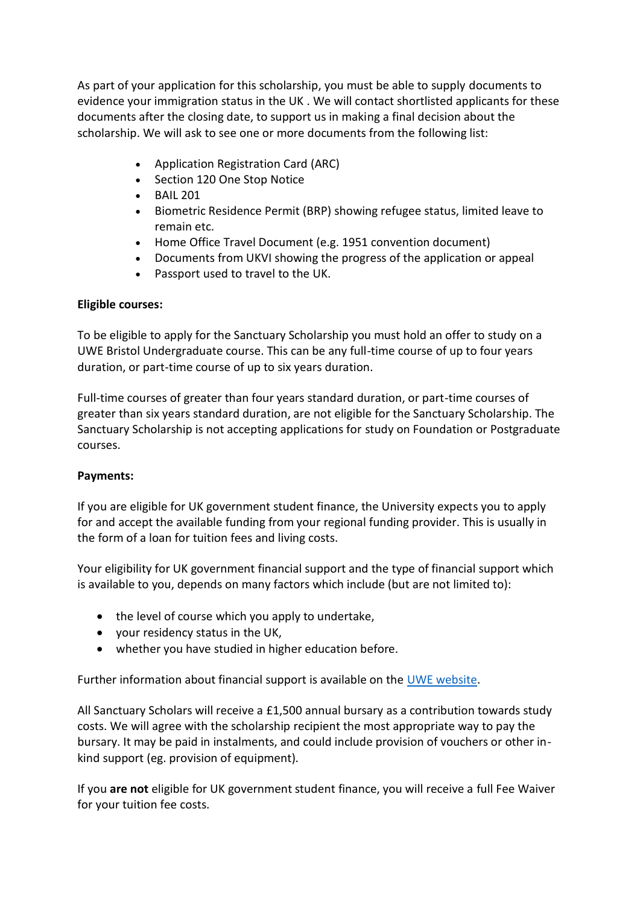As part of your application for this scholarship, you must be able to supply documents to evidence your immigration status in the UK . We will contact shortlisted applicants for these documents after the closing date, to support us in making a final decision about the scholarship. We will ask to see one or more documents from the following list:

- Application Registration Card (ARC)
- Section 120 One Stop Notice
- BAIL 201
- Biometric Residence Permit (BRP) showing refugee status, limited leave to remain etc.
- Home Office Travel Document (e.g. 1951 convention document)
- Documents from UKVI showing the progress of the application or appeal
- Passport used to travel to the UK.

# **Eligible courses:**

To be eligible to apply for the Sanctuary Scholarship you must hold an offer to study on a UWE Bristol Undergraduate course. This can be any full-time course of up to four years duration, or part-time course of up to six years duration.

Full-time courses of greater than four years standard duration, or part-time courses of greater than six years standard duration, are not eligible for the Sanctuary Scholarship. The Sanctuary Scholarship is not accepting applications for study on Foundation or Postgraduate courses.

#### **Payments:**

If you are eligible for UK government student finance, the University expects you to apply for and accept the available funding from your regional funding provider. This is usually in the form of a loan for tuition fees and living costs.

Your eligibility for UK government financial support and the type of financial support which is available to you, depends on many factors which include (but are not limited to):

- the level of course which you apply to undertake,
- your residency status in the UK,
- whether you have studied in higher education before.

Further information about financial support is available on the [UWE website.](https://www.uwe.ac.uk/courses/funding/full-time-undergraduate-funding)

All Sanctuary Scholars will receive a £1,500 annual bursary as a contribution towards study costs. We will agree with the scholarship recipient the most appropriate way to pay the bursary. It may be paid in instalments, and could include provision of vouchers or other inkind support (eg. provision of equipment).

If you **are not** eligible for UK government student finance, you will receive a full Fee Waiver for your tuition fee costs.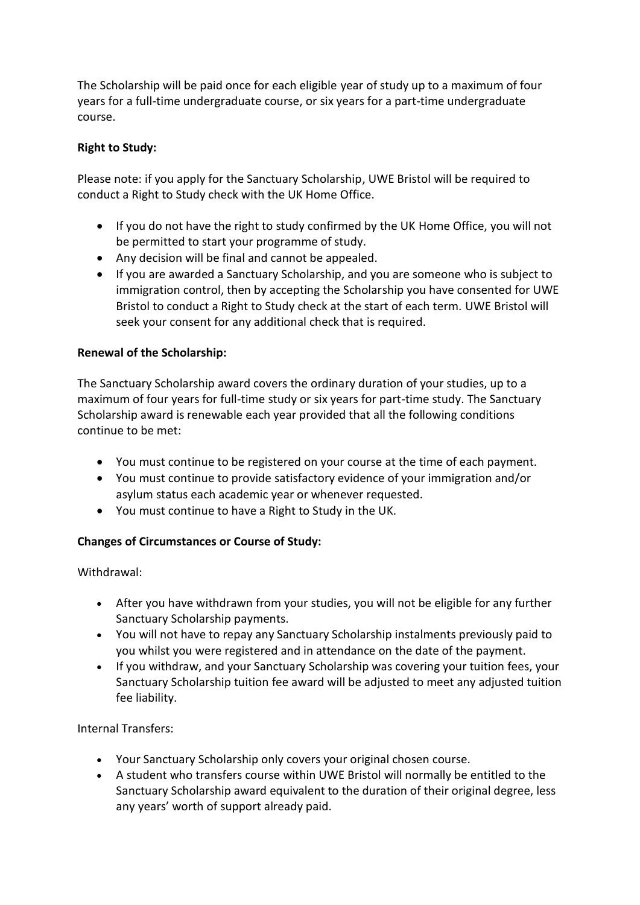The Scholarship will be paid once for each eligible year of study up to a maximum of four years for a full-time undergraduate course, or six years for a part-time undergraduate course.

#### **Right to Study:**

Please note: if you apply for the Sanctuary Scholarship, UWE Bristol will be required to conduct a Right to Study check with the UK Home Office.

- If you do not have the right to study confirmed by the UK Home Office, you will not be permitted to start your programme of study.
- Any decision will be final and cannot be appealed.
- If you are awarded a Sanctuary Scholarship, and you are someone who is subject to immigration control, then by accepting the Scholarship you have consented for UWE Bristol to conduct a Right to Study check at the start of each term. UWE Bristol will seek your consent for any additional check that is required.

#### **Renewal of the Scholarship:**

The Sanctuary Scholarship award covers the ordinary duration of your studies, up to a maximum of four years for full-time study or six years for part-time study. The Sanctuary Scholarship award is renewable each year provided that all the following conditions continue to be met:

- You must continue to be registered on your course at the time of each payment.
- You must continue to provide satisfactory evidence of your immigration and/or asylum status each academic year or whenever requested.
- You must continue to have a Right to Study in the UK.

#### **Changes of Circumstances or Course of Study:**

Withdrawal:

- After you have withdrawn from your studies, you will not be eligible for any further Sanctuary Scholarship payments.
- You will not have to repay any Sanctuary Scholarship instalments previously paid to you whilst you were registered and in attendance on the date of the payment.
- If you withdraw, and your Sanctuary Scholarship was covering your tuition fees, your Sanctuary Scholarship tuition fee award will be adjusted to meet any adjusted tuition fee liability.

#### Internal Transfers:

- Your Sanctuary Scholarship only covers your original chosen course.
- A student who transfers course within UWE Bristol will normally be entitled to the Sanctuary Scholarship award equivalent to the duration of their original degree, less any years' worth of support already paid.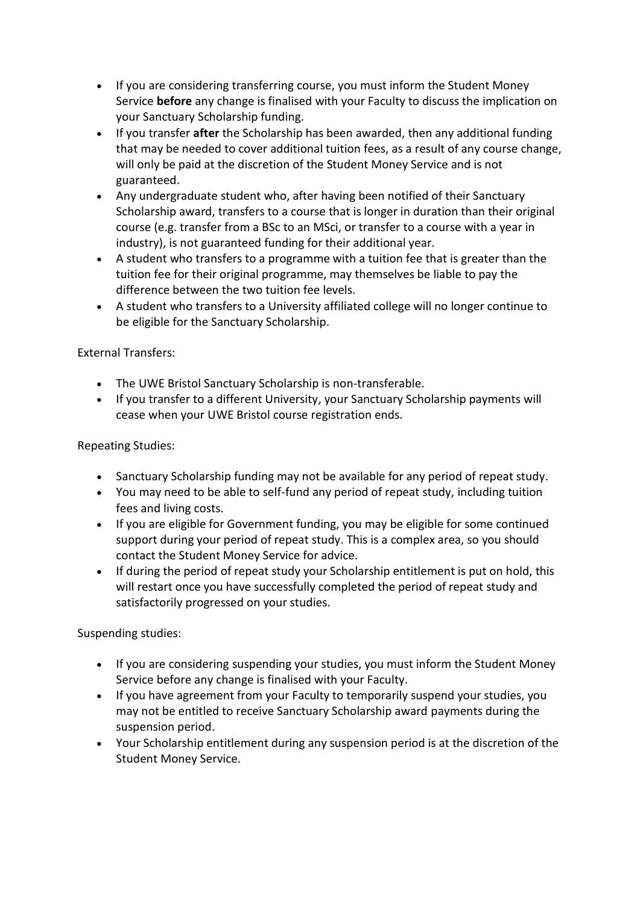- If you are considering transferring course, you must inform the Student Money Service **before** any change is finalised with your Faculty to discuss the implication on your Sanctuary Scholarship funding.
- If you transfer **after** the Scholarship has been awarded, then any additional funding that may be needed to cover additional tuition fees, as a result of any course change, will only be paid at the discretion of the Student Money Service and is not guaranteed.
- Any undergraduate student who, after having been notified of their Sanctuary Scholarship award, transfers to a course that is longer in duration than their original course (e.g. transfer from a BSc to an MSci, or transfer to a course with a year in industry), is not guaranteed funding for their additional year.
- A student who transfers to a programme with a tuition fee that is greater than the tuition fee for their original programme, may themselves be liable to pay the difference between the two tuition fee levels.
- A student who transfers to a University affiliated college will no longer continue to be eligible for the Sanctuary Scholarship.

# External Transfers:

- The UWE Bristol Sanctuary Scholarship is non-transferable.
- If you transfer to a different University, your Sanctuary Scholarship payments will cease when your UWE Bristol course registration ends.

### Repeating Studies:

- Sanctuary Scholarship funding may not be available for any period of repeat study.
- You may need to be able to self-fund any period of repeat study, including tuition fees and living costs.
- If you are eligible for Government funding, you may be eligible for some continued support during your period of repeat study. This is a complex area, so you should contact the Student Money Service for advice.
- If during the period of repeat study your Scholarship entitlement is put on hold, this will restart once you have successfully completed the period of repeat study and satisfactorily progressed on your studies.

Suspending studies:

- If you are considering suspending your studies, you must inform the Student Money Service before any change is finalised with your Faculty.
- If you have agreement from your Faculty to temporarily suspend your studies, you may not be entitled to receive Sanctuary Scholarship award payments during the suspension period.
- Your Scholarship entitlement during any suspension period is at the discretion of the Student Money Service.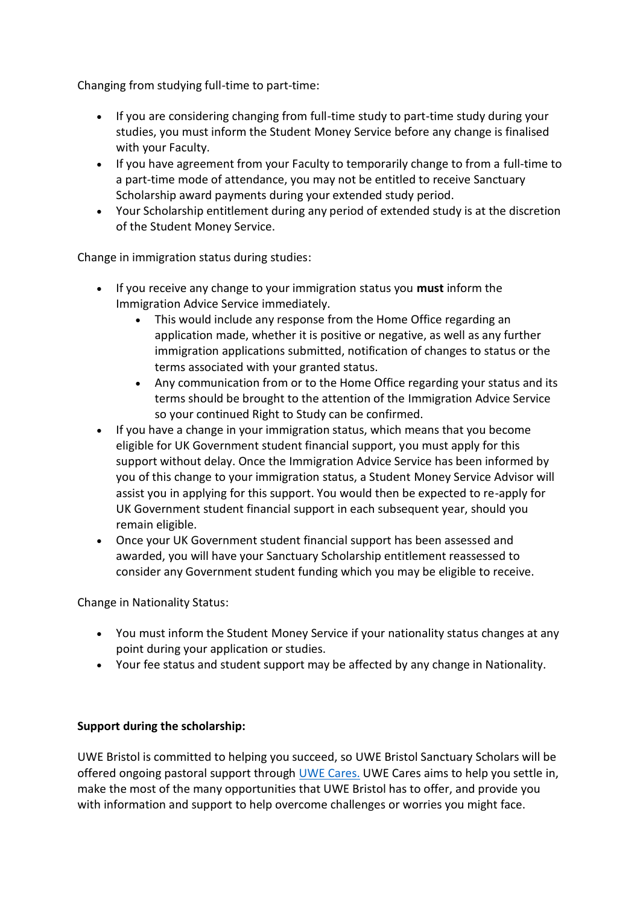Changing from studying full-time to part-time:

- If you are considering changing from full-time study to part-time study during your studies, you must inform the Student Money Service before any change is finalised with your Faculty.
- If you have agreement from your Faculty to temporarily change to from a full-time to a part-time mode of attendance, you may not be entitled to receive Sanctuary Scholarship award payments during your extended study period.
- Your Scholarship entitlement during any period of extended study is at the discretion of the Student Money Service.

Change in immigration status during studies:

- If you receive any change to your immigration status you **must** inform the Immigration Advice Service immediately.
	- This would include any response from the Home Office regarding an application made, whether it is positive or negative, as well as any further immigration applications submitted, notification of changes to status or the terms associated with your granted status.
	- Any communication from or to the Home Office regarding your status and its terms should be brought to the attention of the Immigration Advice Service so your continued Right to Study can be confirmed.
- If you have a change in your immigration status, which means that you become eligible for UK Government student financial support, you must apply for this support without delay. Once the Immigration Advice Service has been informed by you of this change to your immigration status, a Student Money Service Advisor will assist you in applying for this support. You would then be expected to re-apply for UK Government student financial support in each subsequent year, should you remain eligible.
- Once your UK Government student financial support has been assessed and awarded, you will have your Sanctuary Scholarship entitlement reassessed to consider any Government student funding which you may be eligible to receive.

Change in Nationality Status:

- You must inform the Student Money Service if your nationality status changes at any point during your application or studies.
- Your fee status and student support may be affected by any change in Nationality.

#### **Support during the scholarship:**

UWE Bristol is committed to helping you succeed, so UWE Bristol Sanctuary Scholars will be offered ongoing pastoral support through [UWE Cares.](https://www.uwe.ac.uk/life/health-and-wellbeing/uwe-cares/uwe-cares-support) UWE Cares aims to help you settle in, make the most of the many opportunities that UWE Bristol has to offer, and provide you with information and support to help overcome challenges or worries you might face.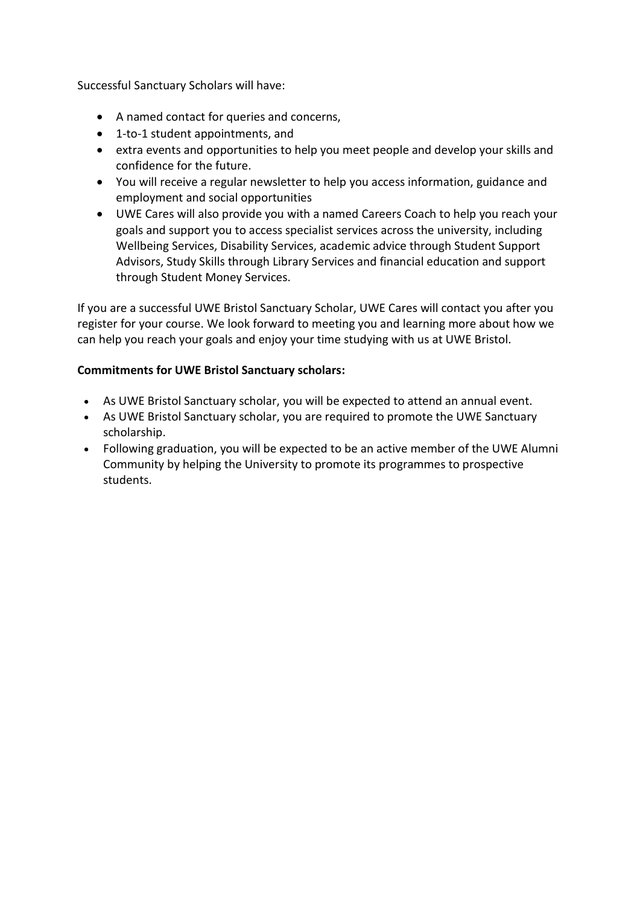Successful Sanctuary Scholars will have:

- A named contact for queries and concerns,
- 1-to-1 student appointments, and
- extra events and opportunities to help you meet people and develop your skills and confidence for the future.
- You will receive a regular newsletter to help you access information, guidance and employment and social opportunities
- UWE Cares will also provide you with a named Careers Coach to help you reach your goals and support you to access specialist services across the university, including Wellbeing Services, Disability Services, academic advice through Student Support Advisors, Study Skills through Library Services and financial education and support through Student Money Services.

If you are a successful UWE Bristol Sanctuary Scholar, UWE Cares will contact you after you register for your course. We look forward to meeting you and learning more about how we can help you reach your goals and enjoy your time studying with us at UWE Bristol.

#### **Commitments for UWE Bristol Sanctuary scholars:**

- As UWE Bristol Sanctuary scholar, you will be expected to attend an annual event.
- As UWE Bristol Sanctuary scholar, you are required to promote the UWE Sanctuary scholarship.
- Following graduation, you will be expected to be an active member of the UWE Alumni Community by helping the University to promote its programmes to prospective students.